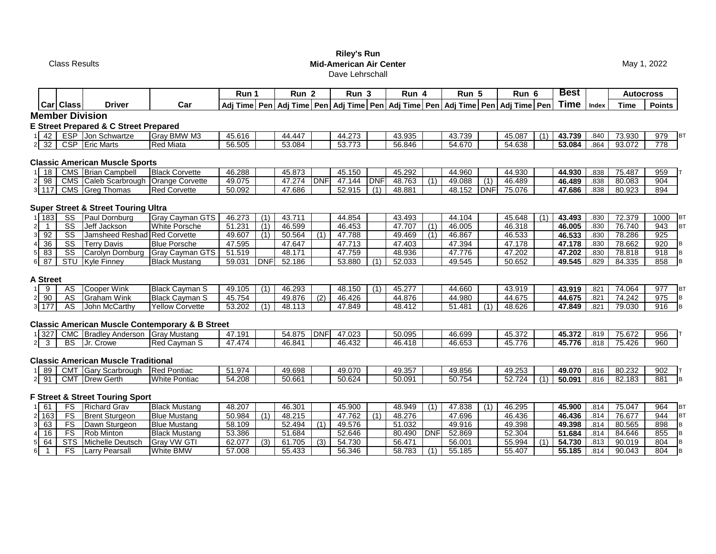Class Results

## **Riley's Run Mid-American Air Center** Dave Lehrschall

May 1, 2022

|                                          |                        |                                                |                                                            | Run 1            |            | Run <sub>2</sub> |                  | Run <sub>3</sub> |            | Run 4            |             | Run 5            |            | Run 6                                                                                  |     | <b>Best</b>      |              | <b>Autocross</b> |                  |
|------------------------------------------|------------------------|------------------------------------------------|------------------------------------------------------------|------------------|------------|------------------|------------------|------------------|------------|------------------|-------------|------------------|------------|----------------------------------------------------------------------------------------|-----|------------------|--------------|------------------|------------------|
|                                          | Car Class              | <b>Driver</b>                                  | Car                                                        |                  |            |                  |                  |                  |            |                  |             |                  |            | Adj Time Pen Adj Time Pen Adj Time Pen Adj Time Pen Adj Time Pen Adj Time Pen Adj Time |     | Time Index       |              | <b>Time</b>      | Points           |
|                                          |                        | <b>Member Division</b>                         |                                                            |                  |            |                  |                  |                  |            |                  |             |                  |            |                                                                                        |     |                  |              |                  |                  |
|                                          |                        | E Street Prepared & C Street Prepared          |                                                            |                  |            |                  |                  |                  |            |                  |             |                  |            |                                                                                        |     |                  |              |                  |                  |
| 42<br>11                                 |                        | ESP Jon Schwartze                              | Gray BMW M3                                                | 45.616           |            | 44.447           |                  | 44.273           |            | 43.935           |             | 43.739           |            | 45.087                                                                                 | (1) | 43.739           | .840         | 73.930           | 979<br><b>BT</b> |
| 32<br>2 <sup>1</sup>                     |                        | CSP Eric Marts                                 | <b>Red Miata</b>                                           | 56.505           |            | 53.084           |                  | 53.773           |            | 56.846           |             | 54.670           |            | 54.638                                                                                 |     | 53.084           | .864         | 93.072           | 778              |
|                                          |                        |                                                |                                                            |                  |            |                  |                  |                  |            |                  |             |                  |            |                                                                                        |     |                  |              |                  |                  |
|                                          |                        | <b>Classic American Muscle Sports</b>          |                                                            |                  |            |                  |                  |                  |            |                  |             |                  |            |                                                                                        |     |                  |              |                  |                  |
| 18                                       |                        | CMS Brian Campbell                             | <b>Black Corvette</b>                                      | 46.288           |            | 45.873           |                  | 45.150           |            | 45.292           |             | 44.960           |            | 44.930                                                                                 |     | 44.930           | .838         | 75.487           | 959              |
| 98<br>$\overline{2}$                     | CMS                    | Caleb Scarbrough                               | <b>Orange Corvette</b>                                     | 49.075           |            | 47.274 DNF       |                  | 47.144           | <b>DNF</b> | 48.763           | (1)         | 49.088           | (1)        | 46.489                                                                                 |     | 46.489           | .838         | 80.083           | 904              |
| 3 117                                    |                        | CMS Greg Thomas                                | <b>Red Corvette</b>                                        | 50.092           |            | 47.686           |                  | 52.915           | (1)        | 48.881           |             | 48.152           | <b>DNF</b> | 75.076                                                                                 |     | 47.686           | .838         | 80.923           | 894              |
|                                          |                        |                                                |                                                            |                  |            |                  |                  |                  |            |                  |             |                  |            |                                                                                        |     |                  |              |                  |                  |
|                                          |                        | <b>Super Street &amp; Street Touring Ultra</b> |                                                            |                  |            |                  |                  |                  |            |                  |             |                  |            |                                                                                        |     |                  |              |                  |                  |
| 1 183                                    | SS                     | Paul Dornburg                                  | <b>Gray Cayman GTS</b>                                     | 46.273           | (1)        | 43.711           |                  | 44.854           |            | 43.493           |             | 44.104           |            | 45.648                                                                                 | (1) | 43.493           | .830         | 72.379           | 1000<br>BT       |
| $\overline{1}$<br>$\mathsf{2}\mathsf{l}$ | $\overline{\text{ss}}$ | Jeff Jackson                                   | White Porsche                                              | 51.231           | (1)        | 46.599           |                  | 46.453           |            | 47.707           | (1)         | 46.005           |            | 46.318                                                                                 |     | 46.005           | .830         | 76.740           | <b>BT</b><br>943 |
| 92<br>$\mathbf{3}$                       | $\overline{\text{SS}}$ | Jamsheed Reshad Red Corvette                   |                                                            | 49.607           | (1)        | 50.564           | (1)              | 47.788           |            | 49.469           | (1)         | 46.867           |            | 46.533                                                                                 |     | 46.533           | .830         | 78.286           | 925              |
| 36<br>$\frac{4}{3}$                      | $\overline{\text{SS}}$ | <b>Terry Davis</b>                             | <b>Blue Porsche</b>                                        | 47.595           |            | 47.647           |                  | 47.713           |            | 47.403           |             | 47.394           |            | 47.178                                                                                 |     | 47.178           | .830         | 78.662           | 920              |
| 83<br>5 <sup>1</sup>                     | $\overline{\text{SS}}$ | Carolyn Dornburg                               | <b>Gray Cayman GTS</b>                                     | 51.519           |            | 48.171           |                  | 47.759           |            | 48.936           |             | 47.776           |            | 47.202                                                                                 |     | 47.202           | .830         | 78.818           | 918<br>B         |
| $6\overline{87}$                         |                        | STU Kyle Finney                                | <b>Black Mustang</b>                                       | 59.031           | <b>DNF</b> | 52.186           |                  | 53.880           | (1)        | 52.033           |             | 49.545           |            | 50.652                                                                                 |     | 49.545           | .829         | 84.335           | 858<br>B         |
|                                          |                        |                                                |                                                            |                  |            |                  |                  |                  |            |                  |             |                  |            |                                                                                        |     |                  |              |                  |                  |
| <b>A Street</b>                          |                        |                                                |                                                            |                  |            |                  |                  |                  |            |                  |             |                  |            |                                                                                        |     |                  |              |                  |                  |
| 9<br>1                                   | AS                     | Cooper Wink                                    | <b>Black Cayman S</b>                                      | 49.105           | (1)        | 46.293           |                  | 48.150           | (1)        | 45.277           |             | 44.660           |            | 43.919                                                                                 |     | 43.919           | .821         | 74.064           | 977<br><b>BT</b> |
| $2 \overline{90}$                        | AS                     | <b>Graham Wink</b>                             | <b>Black Cayman S</b>                                      | 45.754           |            | 49.876           | $\overline{(2)}$ | 46.426           |            | 44.876           |             | 44.980           |            | 44.675                                                                                 |     | 44.675           | .821         | 74.242           | 975<br>B         |
| $3 \overline{177}$                       | <b>AS</b>              | John McCarthy                                  | <b>Yellow Corvette</b>                                     | 53.202           | (1)        | 48.113           |                  | 47.849           |            | 48.412           |             | 51.481           | (1)        | 48.626                                                                                 |     | 47.849           | .821         | 79.030           | 916<br>B         |
|                                          |                        |                                                | <b>Classic American Muscle Contemporary &amp; B Street</b> |                  |            |                  |                  |                  |            |                  |             |                  |            |                                                                                        |     |                  |              |                  |                  |
|                                          |                        |                                                |                                                            |                  |            | 54.875           | <b>DNF</b>       | 47.023           |            |                  |             |                  |            |                                                                                        |     |                  |              |                  | 956              |
| 1 327<br>$\mathbf{3}$<br>2 <sup>1</sup>  | <b>BS</b>              | CMC Bradley Anderson Gray Mustang<br>Jr. Crowe | <b>Red Cavman S</b>                                        | 47.191<br>47.474 |            | 46.841           |                  | 46.432           |            | 50.095<br>46.418 |             | 46.699<br>46.653 |            | 45.372<br>45.776                                                                       |     | 45.372<br>45.776 | .819<br>.818 | 75.672<br>75.426 | 960              |
|                                          |                        |                                                |                                                            |                  |            |                  |                  |                  |            |                  |             |                  |            |                                                                                        |     |                  |              |                  |                  |
|                                          |                        | <b>Classic American Muscle Traditional</b>     |                                                            |                  |            |                  |                  |                  |            |                  |             |                  |            |                                                                                        |     |                  |              |                  |                  |
| 89<br>11                                 | <b>CMT</b>             | Gary Scarbrough                                | <b>Red Pontiac</b>                                         | 51.974           |            | 49.698           |                  | 49.070           |            | 49.357           |             | 49.856           |            | 49.253                                                                                 |     | 49.070           | .816         | 80.232           | 902              |
| $2$ 91                                   |                        | CMT Drew Gerth                                 | <b>White Pontiac</b>                                       | 54.208           |            | 50.661           |                  | 50.624           |            | 50.091           |             | 50.754           |            | 52.724                                                                                 | (1) | 50.091           | .816         | 82.183           | 881<br>B         |
|                                          |                        |                                                |                                                            |                  |            |                  |                  |                  |            |                  |             |                  |            |                                                                                        |     |                  |              |                  |                  |
|                                          |                        | <b>F Street &amp; Street Touring Sport</b>     |                                                            |                  |            |                  |                  |                  |            |                  |             |                  |            |                                                                                        |     |                  |              |                  |                  |
| 61                                       | FS                     | <b>Richard Grav</b>                            | <b>Black Mustang</b>                                       | 48.207           |            | 46.301           |                  | 45.900           |            | 48.949           | (1)         | 47.838           | (1)        | 46.295                                                                                 |     | 45.900           | .814         | 75.047           | 964<br>BT        |
| 2 163                                    | FS                     | <b>Brent Sturgeon</b>                          | <b>Blue Mustang</b>                                        | 50.984           | (1)        | 48.215           |                  | 47.762           | (1)        | 48.276           |             | 47.696           |            | 46.436                                                                                 |     | 46.436           | .814         | 76.677           | <b>BT</b><br>944 |
| 63<br>3                                  | FS                     | Dawn Sturgeon                                  | <b>Blue Mustang</b>                                        | 58.109           |            | 52.494           | (1)              | 49.576           |            | 51.032           |             | 49.916           |            | 49.398                                                                                 |     | 49.398           | .814         | 80.565           | 898              |
| 16<br>$\overline{4}$                     | FS                     | <b>Rob Minton</b>                              | <b>Black Mustang</b>                                       | 53.386           |            | 51.684           |                  | 52.646           |            | 80.490           | <b>IDNF</b> | 52.869           |            | 52.304                                                                                 |     | 51.684           | .814         | 84.646           | 855              |
| 64<br>5 <sub>l</sub>                     | <b>STS</b>             | Michelle Deutsch                               | <b>Gray VW GTI</b>                                         | 62.077           | (3)        | 61.705           | (3)              | 54.730           |            | 56.471           |             | 56.001           |            | 55.994                                                                                 | (1) | 54.730           | .813         | 90.019           | 804              |
| $\overline{1}$<br>6 <sup>1</sup>         | FS                     | <b>Larry Pearsall</b>                          | <b>White BMW</b>                                           | 57.008           |            | 55.433           |                  | 56.346           |            | 58.783           | (1)         | 55.185           |            | 55.407                                                                                 |     | 55.185           | .814         | 90.043           | 804<br>B         |
|                                          |                        |                                                |                                                            |                  |            |                  |                  |                  |            |                  |             |                  |            |                                                                                        |     |                  |              |                  |                  |